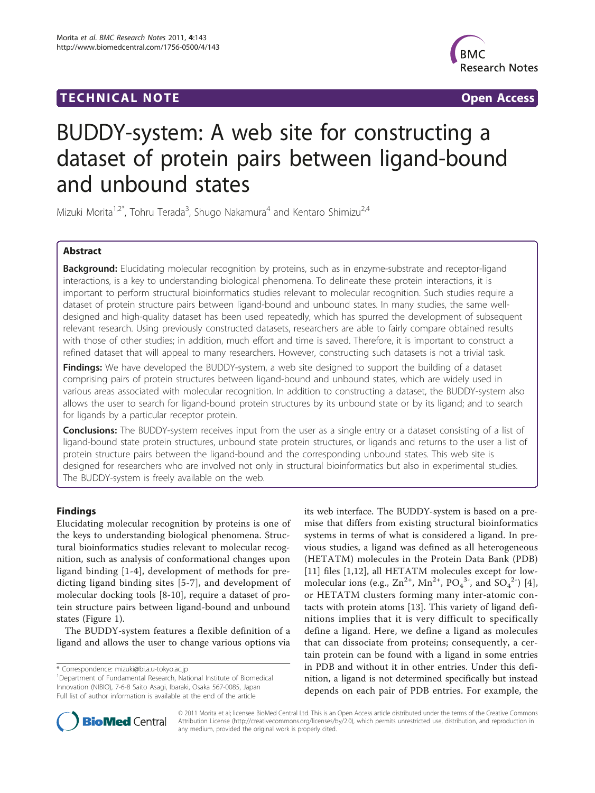# TECHNICAL NOTE CONTROLLED TECHNICAL NOTE



# BUDDY-system: A web site for constructing a dataset of protein pairs between ligand-bound and unbound states

Mizuki Morita<sup>1,2\*</sup>, Tohru Terada<sup>3</sup>, Shugo Nakamura<sup>4</sup> and Kentaro Shimizu<sup>2,4</sup>

# Abstract

Background: Elucidating molecular recognition by proteins, such as in enzyme-substrate and receptor-ligand interactions, is a key to understanding biological phenomena. To delineate these protein interactions, it is important to perform structural bioinformatics studies relevant to molecular recognition. Such studies require a dataset of protein structure pairs between ligand-bound and unbound states. In many studies, the same welldesigned and high-quality dataset has been used repeatedly, which has spurred the development of subsequent relevant research. Using previously constructed datasets, researchers are able to fairly compare obtained results with those of other studies; in addition, much effort and time is saved. Therefore, it is important to construct a refined dataset that will appeal to many researchers. However, constructing such datasets is not a trivial task.

**Findings:** We have developed the BUDDY-system, a web site designed to support the building of a dataset comprising pairs of protein structures between ligand-bound and unbound states, which are widely used in various areas associated with molecular recognition. In addition to constructing a dataset, the BUDDY-system also allows the user to search for ligand-bound protein structures by its unbound state or by its ligand; and to search for ligands by a particular receptor protein.

**Conclusions:** The BUDDY-system receives input from the user as a single entry or a dataset consisting of a list of ligand-bound state protein structures, unbound state protein structures, or ligands and returns to the user a list of protein structure pairs between the ligand-bound and the corresponding unbound states. This web site is designed for researchers who are involved not only in structural bioinformatics but also in experimental studies. The BUDDY-system is freely available on the web.

# Findings

Elucidating molecular recognition by proteins is one of the keys to understanding biological phenomena. Structural bioinformatics studies relevant to molecular recognition, such as analysis of conformational changes upon ligand binding [[1](#page-3-0)-[4\]](#page-3-0), development of methods for predicting ligand binding sites [\[5-7](#page-3-0)], and development of molecular docking tools [[8](#page-3-0)-[10\]](#page-3-0), require a dataset of protein structure pairs between ligand-bound and unbound states (Figure [1](#page-1-0)).

The BUDDY-system features a flexible definition of a ligand and allows the user to change various options via its web interface. The BUDDY-system is based on a premise that differs from existing structural bioinformatics systems in terms of what is considered a ligand. In previous studies, a ligand was defined as all heterogeneous (HETATM) molecules in the Protein Data Bank (PDB) [[11\]](#page-3-0) files [\[1,12](#page-3-0)], all HETATM molecules except for lowmolecular ions (e.g.,  $\text{Zn}^{2+}$ ,  $\text{Mn}^{2+}$ ,  $\text{PO}_4^{3-}$ , and  $\text{SO}_4^{2-}$ ) [\[4](#page-3-0)], or HETATM clusters forming many inter-atomic contacts with protein atoms [\[13\]](#page-3-0). This variety of ligand definitions implies that it is very difficult to specifically define a ligand. Here, we define a ligand as molecules that can dissociate from proteins; consequently, a certain protein can be found with a ligand in some entries in PDB and without it in other entries. Under this definition, a ligand is not determined specifically but instead depends on each pair of PDB entries. For example, the



© 2011 Morita et al; licensee BioMed Central Ltd. This is an Open Access article distributed under the terms of the Creative Commons Attribution License [\(http://creativecommons.org/licenses/by/2.0](http://creativecommons.org/licenses/by/2.0)), which permits unrestricted use, distribution, and reproduction in any medium, provided the original work is properly cited.

<sup>\*</sup> Correspondence: [mizuki@bi.a.u-tokyo.ac.jp](mailto:mizuki@bi.a.u-tokyo.ac.jp)

<sup>&</sup>lt;sup>1</sup>Department of Fundamental Research, National Institute of Biomedical Innovation (NIBIO), 7-6-8 Saito Asagi, Ibaraki, Osaka 567-0085, Japan Full list of author information is available at the end of the article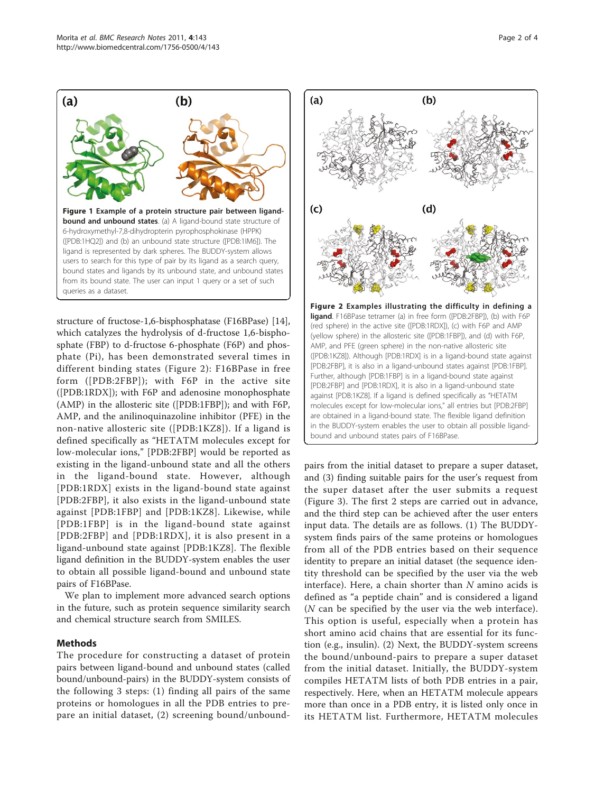<span id="page-1-0"></span>

structure of fructose-1,6-bisphosphatase (F16BPase) [\[14](#page-3-0)], which catalyzes the hydrolysis of d-fructose 1,6-bisphosphate (FBP) to d-fructose 6-phosphate (F6P) and phosphate (Pi), has been demonstrated several times in different binding states (Figure 2): F16BPase in free form ([PDB:2FBP]); with F6P in the active site ([PDB:1RDX]); with F6P and adenosine monophosphate (AMP) in the allosteric site ([PDB:1FBP]); and with F6P, AMP, and the anilinoquinazoline inhibitor (PFE) in the non-native allosteric site ([PDB:1KZ8]). If a ligand is defined specifically as "HETATM molecules except for low-molecular ions," [PDB:2FBP] would be reported as existing in the ligand-unbound state and all the others in the ligand-bound state. However, although [PDB:1RDX] exists in the ligand-bound state against [PDB:2FBP], it also exists in the ligand-unbound state against [PDB:1FBP] and [PDB:1KZ8]. Likewise, while [PDB:1FBP] is in the ligand-bound state against [PDB:2FBP] and [PDB:1RDX], it is also present in a ligand-unbound state against [PDB:1KZ8]. The flexible ligand definition in the BUDDY-system enables the user to obtain all possible ligand-bound and unbound state pairs of F16BPase.

We plan to implement more advanced search options in the future, such as protein sequence similarity search and chemical structure search from SMILES.

## Methods

The procedure for constructing a dataset of protein pairs between ligand-bound and unbound states (called bound/unbound-pairs) in the BUDDY-system consists of the following 3 steps: (1) finding all pairs of the same proteins or homologues in all the PDB entries to prepare an initial dataset, (2) screening bound/unbound-



pairs from the initial dataset to prepare a super dataset, and (3) finding suitable pairs for the user's request from the super dataset after the user submits a request (Figure [3\)](#page-2-0). The first 2 steps are carried out in advance, and the third step can be achieved after the user enters input data. The details are as follows. (1) The BUDDYsystem finds pairs of the same proteins or homologues from all of the PDB entries based on their sequence identity to prepare an initial dataset (the sequence identity threshold can be specified by the user via the web interface). Here, a chain shorter than  $N$  amino acids is defined as "a peptide chain" and is considered a ligand (N can be specified by the user via the web interface). This option is useful, especially when a protein has short amino acid chains that are essential for its function (e.g., insulin). (2) Next, the BUDDY-system screens the bound/unbound-pairs to prepare a super dataset from the initial dataset. Initially, the BUDDY-system compiles HETATM lists of both PDB entries in a pair, respectively. Here, when an HETATM molecule appears more than once in a PDB entry, it is listed only once in its HETATM list. Furthermore, HETATM molecules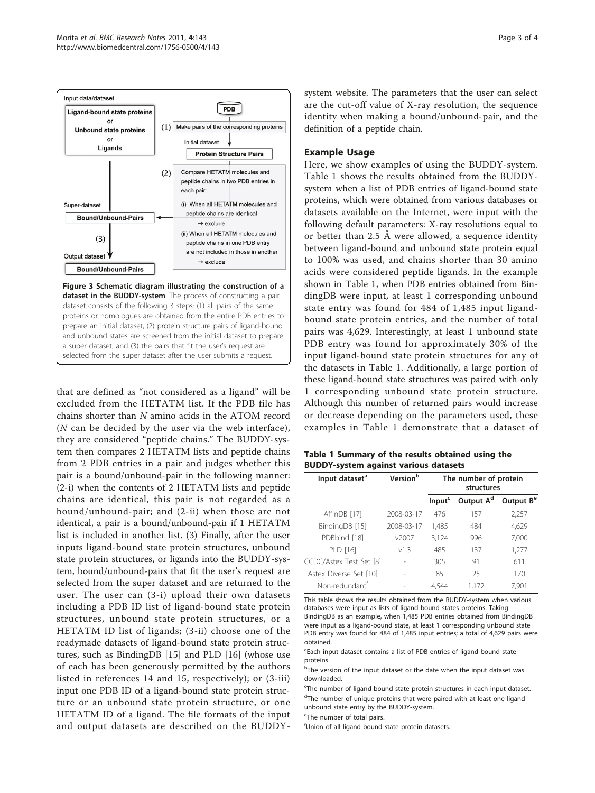<span id="page-2-0"></span>

selected from the super dataset after the user submits a request.

that are defined as "not considered as a ligand" will be excluded from the HETATM list. If the PDB file has chains shorter than N amino acids in the ATOM record (N can be decided by the user via the web interface), they are considered "peptide chains." The BUDDY-system then compares 2 HETATM lists and peptide chains from 2 PDB entries in a pair and judges whether this pair is a bound/unbound-pair in the following manner: (2-i) when the contents of 2 HETATM lists and peptide chains are identical, this pair is not regarded as a bound/unbound-pair; and (2-ii) when those are not identical, a pair is a bound/unbound-pair if 1 HETATM list is included in another list. (3) Finally, after the user inputs ligand-bound state protein structures, unbound state protein structures, or ligands into the BUDDY-system, bound/unbound-pairs that fit the user's request are selected from the super dataset and are returned to the user. The user can (3-i) upload their own datasets including a PDB ID list of ligand-bound state protein structures, unbound state protein structures, or a HETATM ID list of ligands; (3-ii) choose one of the readymade datasets of ligand-bound state protein structures, such as BindingDB [\[15](#page-3-0)] and PLD [\[16](#page-3-0)] (whose use of each has been generously permitted by the authors listed in references 14 and 15, respectively); or (3-iii) input one PDB ID of a ligand-bound state protein structure or an unbound state protein structure, or one HETATM ID of a ligand. The file formats of the input and output datasets are described on the BUDDY-

system website. The parameters that the user can select are the cut-off value of X-ray resolution, the sequence identity when making a bound/unbound-pair, and the definition of a peptide chain.

## Example Usage

Here, we show examples of using the BUDDY-system. Table 1 shows the results obtained from the BUDDYsystem when a list of PDB entries of ligand-bound state proteins, which were obtained from various databases or datasets available on the Internet, were input with the following default parameters: X-ray resolutions equal to or better than 2.5 Å were allowed, a sequence identity between ligand-bound and unbound state protein equal to 100% was used, and chains shorter than 30 amino acids were considered peptide ligands. In the example shown in Table 1, when PDB entries obtained from BindingDB were input, at least 1 corresponding unbound state entry was found for 484 of 1,485 input ligandbound state protein entries, and the number of total pairs was 4,629. Interestingly, at least 1 unbound state PDB entry was found for approximately 30% of the input ligand-bound state protein structures for any of the datasets in Table 1. Additionally, a large portion of these ligand-bound state structures was paired with only 1 corresponding unbound state protein structure. Although this number of returned pairs would increase or decrease depending on the parameters used, these examples in Table 1 demonstrate that a dataset of

|                                              | Table 1 Summary of the results obtained using the |  |
|----------------------------------------------|---------------------------------------------------|--|
| <b>BUDDY-system against various datasets</b> |                                                   |  |

| Input dataset <sup>a</sup> | Version <sup>b</sup> | The number of protein<br>structures |                       |                       |
|----------------------------|----------------------|-------------------------------------|-----------------------|-----------------------|
|                            |                      | Input <sup>c</sup>                  | Output A <sup>d</sup> | Output B <sup>e</sup> |
| AffinDB [17]               | 2008-03-17           | 476                                 | 157                   | 2,257                 |
| BindingDB [15]             | 2008-03-17           | 1,485                               | 484                   | 4,629                 |
| PDBbind [18]               | v2007                | 3,124                               | 996                   | 7,000                 |
| <b>PLD [16]</b>            | v1.3                 | 485                                 | 137                   | 1,277                 |
| CCDC/Astex Test Set [8]    | $\overline{a}$       | 305                                 | 91                    | 611                   |
| Astex Diverse Set [10]     |                      | 85                                  | 25                    | 170                   |
| Non-redundant <sup>f</sup> |                      | 4.544                               | 1.172                 | 7.901                 |

This table shows the results obtained from the BUDDY-system when various databases were input as lists of ligand-bound states proteins. Taking BindingDB as an example, when 1,485 PDB entries obtained from BindingDB were input as a ligand-bound state, at least 1 corresponding unbound state PDB entry was found for 484 of 1,485 input entries; a total of 4,629 pairs were obtained.

<sup>a</sup>Each input dataset contains a list of PDB entries of ligand-bound state proteins.

<sup>b</sup>The version of the input dataset or the date when the input dataset was downloaded.

<sup>c</sup>The number of ligand-bound state protein structures in each input dataset. <sup>d</sup>The number of unique proteins that were paired with at least one ligandunbound state entry by the BUDDY-system.

eThe number of total pairs.

f Union of all ligand-bound state protein datasets.